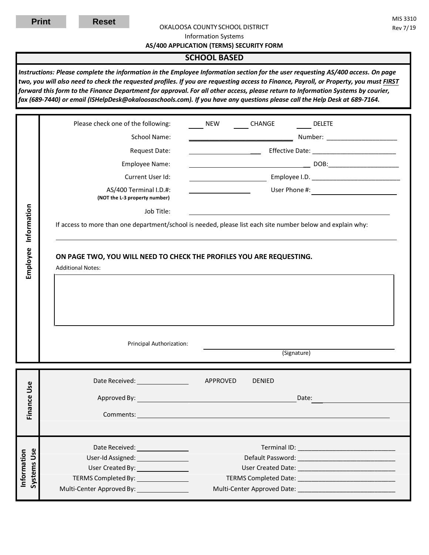Т

#### OKALOOSA COUNTY SCHOOL DISTRICT Rev 7/19

Information Systems

**AS/400 APPLICATION (TERMS) SECURITY FORM**

## **SCHOOL BASED**

*Instructions: Please complete the information in the Employee Information section for the user requesting AS/400 access. On page two, you will also need to check the requested profiles. If you are requesting access to Finance, Payroll, or Property, you must FIRST forward this form to the Finance Department for approval. For all other access, please return to Information Systems by courier, fax (689-7440) or email (ISHelpDesk@okaloosaschools.com). If you have any questions please call the Help Desk at 689-7164.* 

| Employee Information              | Please check one of the following:                                                                                                                                                                                             | <b>NEW</b>                         | CHANGE        | <b>DELETE</b> |  |  |  |  |
|-----------------------------------|--------------------------------------------------------------------------------------------------------------------------------------------------------------------------------------------------------------------------------|------------------------------------|---------------|---------------|--|--|--|--|
|                                   | School Name:                                                                                                                                                                                                                   | Number: __________________________ |               |               |  |  |  |  |
|                                   | <b>Request Date:</b>                                                                                                                                                                                                           |                                    |               |               |  |  |  |  |
|                                   | Employee Name:                                                                                                                                                                                                                 |                                    |               |               |  |  |  |  |
|                                   | Current User Id:                                                                                                                                                                                                               |                                    |               |               |  |  |  |  |
|                                   | AS/400 Terminal I.D.#:<br>(NOT the L-3 property number)                                                                                                                                                                        |                                    |               |               |  |  |  |  |
|                                   | Job Title:                                                                                                                                                                                                                     |                                    |               |               |  |  |  |  |
|                                   | If access to more than one department/school is needed, please list each site number below and explain why:                                                                                                                    |                                    |               |               |  |  |  |  |
|                                   | <b>Additional Notes:</b><br>Principal Authorization:                                                                                                                                                                           |                                    |               | (Signature)   |  |  |  |  |
|                                   |                                                                                                                                                                                                                                |                                    |               |               |  |  |  |  |
|                                   |                                                                                                                                                                                                                                |                                    |               |               |  |  |  |  |
|                                   |                                                                                                                                                                                                                                | APPROVED                           | <b>DENIED</b> |               |  |  |  |  |
|                                   |                                                                                                                                                                                                                                |                                    |               | Date:         |  |  |  |  |
| Finance Use                       |                                                                                                                                                                                                                                |                                    |               |               |  |  |  |  |
|                                   |                                                                                                                                                                                                                                |                                    |               |               |  |  |  |  |
|                                   | Date Received: ________________                                                                                                                                                                                                |                                    |               |               |  |  |  |  |
|                                   | User-Id Assigned: The Contract of the Contract of the Contract of the Contract of the Contract of the Contract of the Contract of the Contract of the Contract of the Contract of the Contract of the Contract of the Contract |                                    |               |               |  |  |  |  |
|                                   | User Created By: _________________                                                                                                                                                                                             |                                    |               |               |  |  |  |  |
| <b>Systems Use</b><br>Information | TERMS Completed By: ________________<br>Multi-Center Approved By: _______________                                                                                                                                              |                                    |               |               |  |  |  |  |